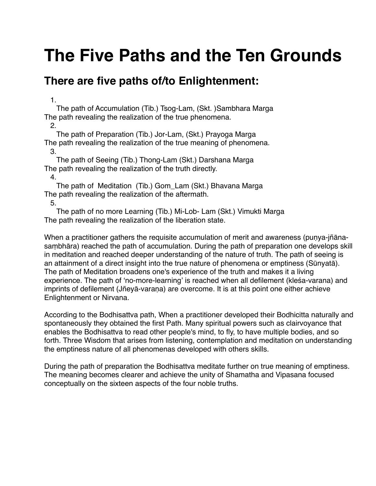# **The Five Paths and the Ten Grounds**

## **There are five paths of/to Enlightenment:**

1.

 The path of Accumulation (Tib.) Tsog-Lam, (Skt. )Sambhara Marga The path revealing the realization of the true phenomena.

2.

 The path of Preparation (Tib.) Jor-Lam, (Skt.) Prayoga Marga The path revealing the realization of the true meaning of phenomena. 3.

 The path of Seeing (Tib.) Thong-Lam (Skt.) Darshana Marga The path revealing the realization of the truth directly.

4.

 The path of Meditation (Tib.) Gom\_Lam (Skt.) Bhavana Marga The path revealing the realization of the aftermath.

5.

 The path of no more Learning (Tib.) Mi-Lob- Lam (Skt.) Vimukti Marga The path revealing the realization of the liberation state.

When a practitioner gathers the requisite accumulation of merit and awareness (punya-jñānasaṃbhāra) reached the path of accumulation. During the path of preparation one develops skill in meditation and reached deeper understanding of the nature of truth. The path of seeing is an attainment of a direct insight into the true nature of phenomena or emptiness (Sūnyatā). The path of Meditation broadens one's experience of the truth and makes it a living experience. The path of ʻno-more-learning' is reached when all defilement (kleśa-varana) and imprints of defilement (Jñeyā-varaṇa) are overcome. It is at this point one either achieve Enlightenment or Nirvana.

According to the Bodhisattva path, When a practitioner developed their Bodhicitta naturally and spontaneously they obtained the first Path. Many spiritual powers such as clairvoyance that enables the Bodhisattva to read other people's mind, to fly, to have multiple bodies, and so forth. Three Wisdom that arises from listening, contemplation and meditation on understanding the emptiness nature of all phenomenas developed with others skills.

During the path of preparation the Bodhisattva meditate further on true meaning of emptiness. The meaning becomes clearer and achieve the unity of Shamatha and Vipasana focused conceptually on the sixteen aspects of the four noble truths.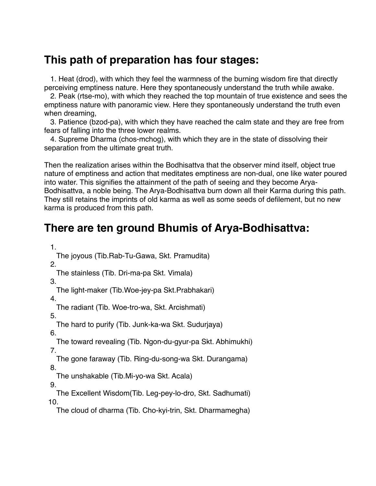#### **This path of preparation has four stages:**

 1. Heat (drod), with which they feel the warmness of the burning wisdom fire that directly perceiving emptiness nature. Here they spontaneously understand the truth while awake.

 2. Peak (rtse-mo), with which they reached the top mountain of true existence and sees the emptiness nature with panoramic view. Here they spontaneously understand the truth even when dreaming,

 3. Patience (bzod-pa), with which they have reached the calm state and they are free from fears of falling into the three lower realms.

 4. Supreme Dharma (chos-mchog), with which they are in the state of dissolving their separation from the ultimate great truth.

Then the realization arises within the Bodhisattva that the observer mind itself, object true nature of emptiness and action that meditates emptiness are non-dual, one like water poured into water. This signifies the attainment of the path of seeing and they become Arya-Bodhisattva, a noble being. The Arya-Bodhisattva burn down all their Karma during this path. They still retains the imprints of old karma as well as some seeds of defilement, but no new karma is produced from this path.

## **There are ten ground Bhumis of Arya-Bodhisattva:**

1.

The joyous (Tib.Rab-Tu-Gawa, Skt. Pramudita)

2.

The stainless (Tib. Dri-ma-pa Skt. Vimala)

 3. The light-maker (Tib.Woe-jey-pa Skt.Prabhakari)

4.

The radiant (Tib. Woe-tro-wa, Skt. Arcishmati)

5.

The hard to purify (Tib. Junk-ka-wa Skt. Sudurjaya)

 6. The toward revealing (Tib. Ngon-du-gyur-pa Skt. Abhimukhi)

7.

 The gone faraway (Tib. Ring-du-song-wa Skt. Durangama) 8.

The unshakable (Tib.Mi-yo-wa Skt. Acala)

9.

The Excellent Wisdom(Tib. Leg-pey-lo-dro, Skt. Sadhumati)

10.

The cloud of dharma (Tib. Cho-kyi-trin, Skt. Dharmamegha)